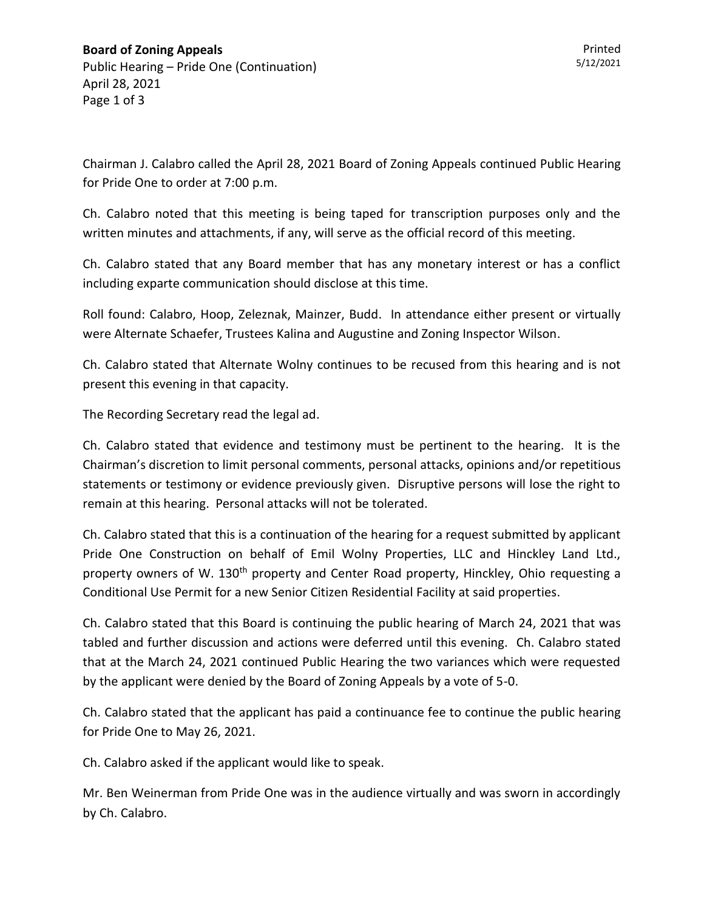Chairman J. Calabro called the April 28, 2021 Board of Zoning Appeals continued Public Hearing for Pride One to order at 7:00 p.m.

Ch. Calabro noted that this meeting is being taped for transcription purposes only and the written minutes and attachments, if any, will serve as the official record of this meeting.

Ch. Calabro stated that any Board member that has any monetary interest or has a conflict including exparte communication should disclose at this time.

Roll found: Calabro, Hoop, Zeleznak, Mainzer, Budd. In attendance either present or virtually were Alternate Schaefer, Trustees Kalina and Augustine and Zoning Inspector Wilson.

Ch. Calabro stated that Alternate Wolny continues to be recused from this hearing and is not present this evening in that capacity.

The Recording Secretary read the legal ad.

Ch. Calabro stated that evidence and testimony must be pertinent to the hearing. It is the Chairman's discretion to limit personal comments, personal attacks, opinions and/or repetitious statements or testimony or evidence previously given. Disruptive persons will lose the right to remain at this hearing. Personal attacks will not be tolerated.

Ch. Calabro stated that this is a continuation of the hearing for a request submitted by applicant Pride One Construction on behalf of Emil Wolny Properties, LLC and Hinckley Land Ltd., property owners of W. 130<sup>th</sup> property and Center Road property, Hinckley, Ohio requesting a Conditional Use Permit for a new Senior Citizen Residential Facility at said properties.

Ch. Calabro stated that this Board is continuing the public hearing of March 24, 2021 that was tabled and further discussion and actions were deferred until this evening. Ch. Calabro stated that at the March 24, 2021 continued Public Hearing the two variances which were requested by the applicant were denied by the Board of Zoning Appeals by a vote of 5-0.

Ch. Calabro stated that the applicant has paid a continuance fee to continue the public hearing for Pride One to May 26, 2021.

Ch. Calabro asked if the applicant would like to speak.

Mr. Ben Weinerman from Pride One was in the audience virtually and was sworn in accordingly by Ch. Calabro.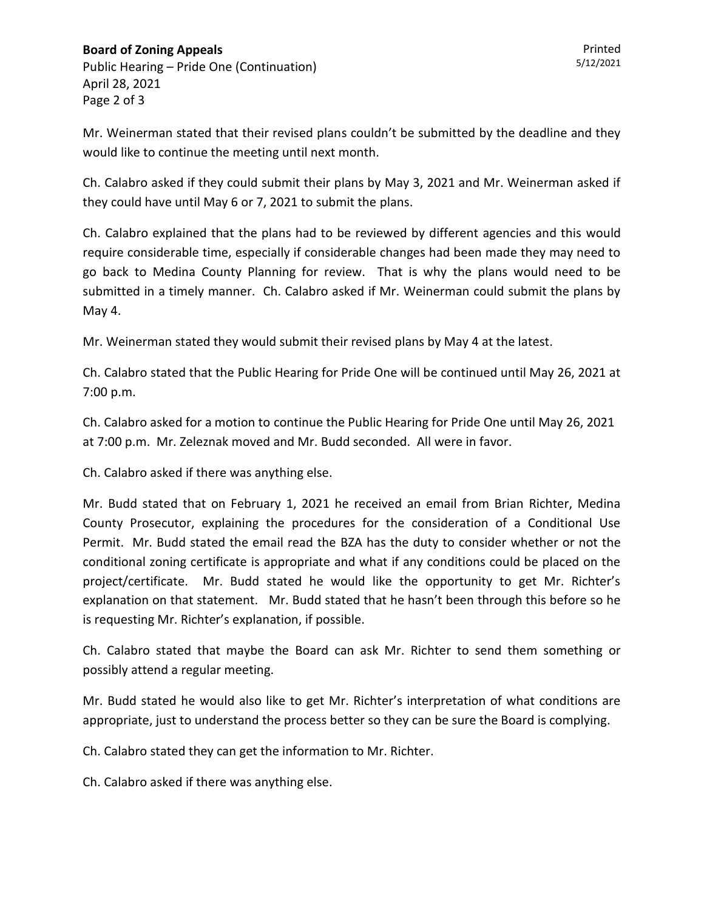## **Board of Zoning Appeals** Public Hearing – Pride One (Continuation) April 28, 2021

Page 2 of 3

Mr. Weinerman stated that their revised plans couldn't be submitted by the deadline and they would like to continue the meeting until next month.

Ch. Calabro asked if they could submit their plans by May 3, 2021 and Mr. Weinerman asked if they could have until May 6 or 7, 2021 to submit the plans.

Ch. Calabro explained that the plans had to be reviewed by different agencies and this would require considerable time, especially if considerable changes had been made they may need to go back to Medina County Planning for review. That is why the plans would need to be submitted in a timely manner. Ch. Calabro asked if Mr. Weinerman could submit the plans by May 4.

Mr. Weinerman stated they would submit their revised plans by May 4 at the latest.

Ch. Calabro stated that the Public Hearing for Pride One will be continued until May 26, 2021 at 7:00 p.m.

Ch. Calabro asked for a motion to continue the Public Hearing for Pride One until May 26, 2021 at 7:00 p.m. Mr. Zeleznak moved and Mr. Budd seconded. All were in favor.

Ch. Calabro asked if there was anything else.

Mr. Budd stated that on February 1, 2021 he received an email from Brian Richter, Medina County Prosecutor, explaining the procedures for the consideration of a Conditional Use Permit. Mr. Budd stated the email read the BZA has the duty to consider whether or not the conditional zoning certificate is appropriate and what if any conditions could be placed on the project/certificate. Mr. Budd stated he would like the opportunity to get Mr. Richter's explanation on that statement. Mr. Budd stated that he hasn't been through this before so he is requesting Mr. Richter's explanation, if possible.

Ch. Calabro stated that maybe the Board can ask Mr. Richter to send them something or possibly attend a regular meeting.

Mr. Budd stated he would also like to get Mr. Richter's interpretation of what conditions are appropriate, just to understand the process better so they can be sure the Board is complying.

Ch. Calabro stated they can get the information to Mr. Richter.

Ch. Calabro asked if there was anything else.